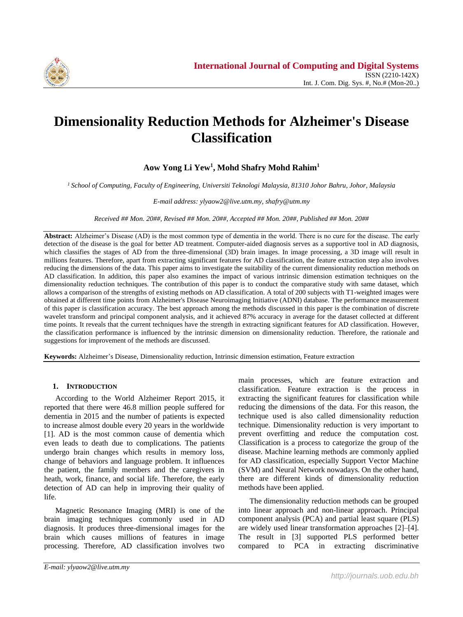

# **Dimensionality Reduction Methods for Alzheimer's Disease Classification**

**Aow Yong Li Yew<sup>1</sup> , Mohd Shafry Mohd Rahim<sup>1</sup>**

*<sup>1</sup>School of Computing, Faculty of Engineering, Universiti Teknologi Malaysia, 81310 Johor Bahru, Johor, Malaysia*

*E-mail address: ylyaow2@live.utm.my, shafry@utm.my*

*Received ## Mon. 20##, Revised ## Mon. 20##, Accepted ## Mon. 20##, Published ## Mon. 20##*

**Abstract:** Alzheimer's Disease (AD) is the most common type of dementia in the world. There is no cure for the disease. The early detection of the disease is the goal for better AD treatment. Computer-aided diagnosis serves as a supportive tool in AD diagnosis, which classifies the stages of AD from the three-dimensional (3D) brain images. In image processing, a 3D image will result in millions features. Therefore, apart from extracting significant features for AD classification, the feature extraction step also involves reducing the dimensions of the data. This paper aims to investigate the suitability of the current dimensionality reduction methods on AD classification. In addition, this paper also examines the impact of various intrinsic dimension estimation techniques on the dimensionality reduction techniques. The contribution of this paper is to conduct the comparative study with same dataset, which allows a comparison of the strengths of existing methods on AD classification. A total of 200 subjects with T1-weighted images were obtained at different time points from Alzheimer's Disease Neuroimaging Initiative (ADNI) database. The performance measurement of this paper is classification accuracy. The best approach among the methods discussed in this paper is the combination of discrete wavelet transform and principal component analysis, and it achieved 87% accuracy in average for the dataset collected at different time points. It reveals that the current techniques have the strength in extracting significant features for AD classification. However, the classification performance is influenced by the intrinsic dimension on dimensionality reduction. Therefore, the rationale and suggestions for improvement of the methods are discussed.

**Keywords:** Alzheimer's Disease, Dimensionality reduction, Intrinsic dimension estimation, Feature extraction

## **1. INTRODUCTION**

According to the World Alzheimer Report 2015, it reported that there were 46.8 million people suffered for dementia in 2015 and the number of patients is expected to increase almost double every 20 years in the worldwide [1]. AD is the most common cause of dementia which even leads to death due to complications. The patients undergo brain changes which results in memory loss, change of behaviors and language problem. It influences the patient, the family members and the caregivers in heath, work, finance, and social life. Therefore, the early detection of AD can help in improving their quality of life.

Magnetic Resonance Imaging (MRI) is one of the brain imaging techniques commonly used in AD diagnosis. It produces three-dimensional images for the brain which causes millions of features in image processing. Therefore, AD classification involves two

main processes, which are feature extraction and classification. Feature extraction is the process in extracting the significant features for classification while reducing the dimensions of the data. For this reason, the technique used is also called dimensionality reduction technique. Dimensionality reduction is very important to prevent overfitting and reduce the computation cost. Classification is a process to categorize the group of the disease. Machine learning methods are commonly applied for AD classification, especially Support Vector Machine (SVM) and Neural Network nowadays. On the other hand, there are different kinds of dimensionality reduction methods have been applied.

The dimensionality reduction methods can be grouped into linear approach and non-linear approach. Principal component analysis (PCA) and partial least square (PLS) are widely used linear transformation approaches [2]–[4]. The result in [3] supported PLS performed better compared to PCA in extracting discriminative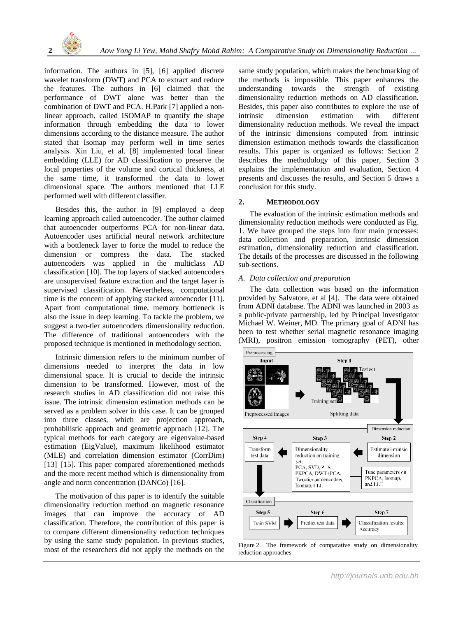

information. The authors in [5], [6] applied discrete wavelet transform (DWT) and PCA to extract and reduce the features. The authors in [6] claimed that the performance of DWT alone was better than the combination of DWT and PCA. H.Park [7] applied a nonlinear approach, called ISOMAP to quantify the shape information through embedding the data to lower dimensions according to the distance measure. The author stated that Isomap may perform well in time series analysis. Xin Liu, et al. [8] implemented local linear embedding (LLE) for AD classification to preserve the local properties of the volume and cortical thickness, at the same time, it transformed the data to lower dimensional space. The authors mentioned that LLE performed well with different classifier.

Besides this, the author in [9] employed a deep learning approach called autoencoder. The author claimed that autoencoder outperforms PCA for non-linear data. Autoencoder uses artificial neural network architecture with a bottleneck layer to force the model to reduce the dimension or compress the data. The stacked autoencoders was applied in the multiclass AD classification [10]. The top layers of stacked autoencoders are unsupervised feature extraction and the target layer is supervised classification. Nevertheless, computational time is the concern of applying stacked autoencoder [11]. Apart from computational time, memory bottleneck is also the issue in deep learning. To tackle the problem, we suggest a two-tier autoencoders dimensionality reduction. The difference of traditional autoencoders with the proposed technique is mentioned in methodology section.

Intrinsic dimension refers to the minimum number of dimensions needed to interpret the data in low dimensional space. It is crucial to decide the intrinsic dimension to be transformed. However, most of the research studies in AD classification did not raise this issue. The intrinsic dimension estimation methods can be served as a problem solver in this case. It can be grouped into three classes, which are projection approach, probabilistic approach and geometric approach [12]. The typical methods for each category are eigenvalue-based estimation (EigValue), maximum likelihood estimator (MLE) and correlation dimension estimator (CorrDim) [13]–[15]. This paper compared aforementioned methods and the more recent method which is dimensionality from angle and norm concentration (DANCo) [16].

The motivation of this paper is to identify the suitable dimensionality reduction method on magnetic resonance images that can improve the accuracy of AD classification. Therefore, the contribution of this paper is to compare different dimensionality reduction techniques by using the same study population. In previous studies, most of the researchers did not apply the methods on the same study population, which makes the benchmarking of the methods is impossible. This paper enhances the understanding towards the strength of existing dimensionality reduction methods on AD classification. Besides, this paper also contributes to explore the use of intrinsic dimension estimation with different dimensionality reduction methods. We reveal the impact of the intrinsic dimensions computed from intrinsic dimension estimation methods towards the classification results. This paper is organized as follows: Section 2 describes the methodology of this paper, Section 3 explains the implementation and evaluation, Section 4 presents and discusses the results, and Section 5 draws a conclusion for this study.

## **2. METHODOLOGY**

The evaluation of the intrinsic estimation methods and dimensionality reduction methods were conducted as Fig. 1. We have grouped the steps into four main processes: data collection and preparation, intrinsic dimension estimation, dimensionality reduction and classification. The details of the processes are discussed in the following sub-sections.

## *A. Data collection and preparation*

The data collection was based on the information provided by Salvatore, et al [4]. The data were obtained from ADNI database. The ADNI was launched in 2003 as a public-private partnership, led by Principal Investigator Michael W. Weiner, MD. The primary goal of ADNI has been to test whether serial magnetic resonance imaging (MRI), positron emission tomography (PET), other



Figure 2. The framework of comparative study on dimensionality reduction approaches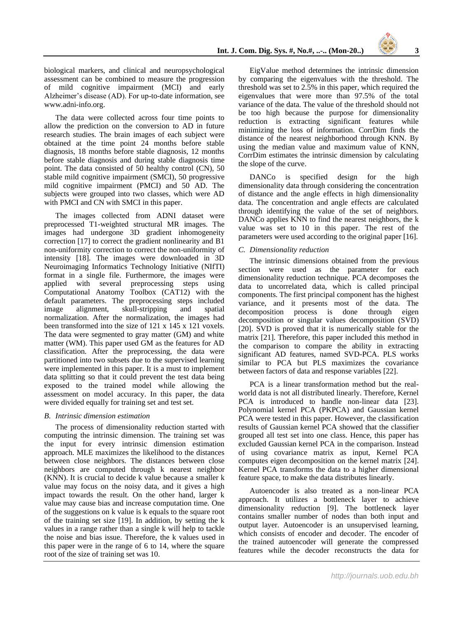biological markers, and clinical and neuropsychological assessment can be combined to measure the progression of mild cognitive impairment (MCI) and early Alzheimer's disease (AD). For up-to-date information, see www.adni-info.org.

The data were collected across four time points to allow the prediction on the conversion to AD in future research studies. The brain images of each subject were obtained at the time point 24 months before stable diagnosis, 18 months before stable diagnosis, 12 months before stable diagnosis and during stable diagnosis time point. The data consisted of 50 healthy control (CN), 50 stable mild cognitive impairment (SMCI), 50 progressive mild cognitive impairment (PMCI) and 50 AD. The subjects were grouped into two classes, which were AD with PMCI and CN with SMCI in this paper.

The images collected from ADNI dataset were preprocessed T1-weighted structural MR images. The images had undergone 3D gradient inhomogeneity correction [17] to correct the gradient nonlinearity and B1 non-uniformity correction to correct the non-uniformity of intensity [18]. The images were downloaded in 3D Neuroimaging Informatics Technology Initiative (NIfTI) format in a single file. Furthermore, the images were applied with several preprocessing steps using Computational Anatomy Toolbox (CAT12) with the default parameters. The preprocessing steps included image alignment, skull-stripping and spatial normalization. After the normalization, the images had been transformed into the size of 121 x 145 x 121 voxels. The data were segmented to gray matter (GM) and white matter (WM). This paper used GM as the features for AD classification. After the preprocessing, the data were partitioned into two subsets due to the supervised learning were implemented in this paper. It is a must to implement data splitting so that it could prevent the test data being exposed to the trained model while allowing the assessment on model accuracy. In this paper, the data were divided equally for training set and test set.

## *B. Intrinsic dimension estimation*

The process of dimensionality reduction started with computing the intrinsic dimension. The training set was the input for every intrinsic dimension estimation approach. MLE maximizes the likelihood to the distances between close neighbors. The distances between close neighbors are computed through k nearest neighbor (KNN). It is crucial to decide k value because a smaller k value may focus on the noisy data, and it gives a high impact towards the result. On the other hand, larger k value may cause bias and increase computation time. One of the suggestions on k value is k equals to the square root of the training set size [19]. In addition, by setting the k values in a range rather than a single k will help to tackle the noise and bias issue. Therefore, the k values used in this paper were in the range of 6 to 14, where the square root of the size of training set was 10.

EigValue method determines the intrinsic dimension by comparing the eigenvalues with the threshold. The threshold was set to 2.5% in this paper, which required the eigenvalues that were more than 97.5% of the total variance of the data. The value of the threshold should not be too high because the purpose for dimensionality reduction is extracting significant features while minimizing the loss of information. CorrDim finds the distance of the nearest neighborhood through KNN. By using the median value and maximum value of KNN, CorrDim estimates the intrinsic dimension by calculating the slope of the curve.

DANC<sub>o</sub> is specified design for the high dimensionality data through considering the concentration of distance and the angle effects in high dimensionality data. The concentration and angle effects are calculated through identifying the value of the set of neighbors. DANCo applies KNN to find the nearest neighbors, the k value was set to 10 in this paper. The rest of the parameters were used according to the original paper [16].

#### *C. Dimensionality reduction*

The intrinsic dimensions obtained from the previous section were used as the parameter for each dimensionality reduction technique. PCA decomposes the data to uncorrelated data, which is called principal components. The first principal component has the highest variance, and it presents most of the data. The decomposition process is done through eigen decomposition or singular values decomposition (SVD) [20]. SVD is proved that it is numerically stable for the matrix [21]. Therefore, this paper included this method in the comparison to compare the ability in extracting significant AD features, named SVD-PCA. PLS works similar to PCA but PLS maximizes the covariance between factors of data and response variables [22].

PCA is a linear transformation method but the realworld data is not all distributed linearly. Therefore, Kernel PCA is introduced to handle non-linear data [23]. Polynomial kernel PCA (PKPCA) and Gaussian kernel PCA were tested in this paper. However, the classification results of Gaussian kernel PCA showed that the classifier grouped all test set into one class. Hence, this paper has excluded Gaussian kernel PCA in the comparison. Instead of using covariance matrix as input, Kernel PCA computes eigen decomposition on the kernel matrix [24]. Kernel PCA transforms the data to a higher dimensional feature space, to make the data distributes linearly.

Autoencoder is also treated as a non-linear PCA approach. It utilizes a bottleneck layer to achieve dimensionality reduction [9]. The bottleneck layer contains smaller number of nodes than both input and output layer. Autoencoder is an unsupervised learning, which consists of encoder and decoder. The encoder of the trained autoencoder will generate the compressed features while the decoder reconstructs the data for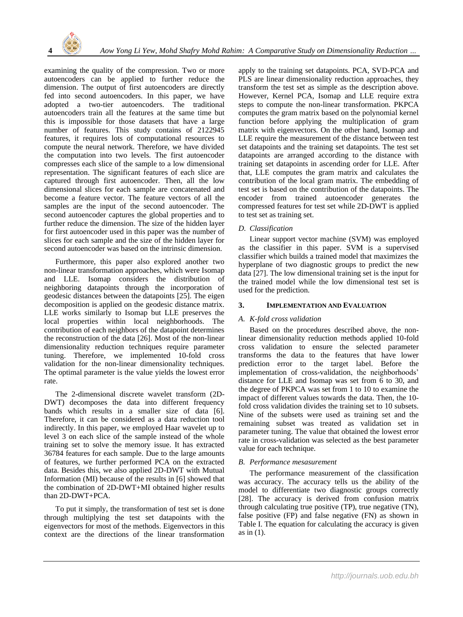

examining the quality of the compression. Two or more autoencoders can be applied to further reduce the dimension. The output of first autoencoders are directly fed into second autoencoders. In this paper, we have adopted a two-tier autoencoders. The traditional autoencoders train all the features at the same time but this is impossible for those datasets that have a large number of features. This study contains of 2122945 features, it requires lots of computational resources to compute the neural network. Therefore, we have divided the computation into two levels. The first autoencoder compresses each slice of the sample to a low dimensional representation. The significant features of each slice are captured through first autoencoder. Then, all the low dimensional slices for each sample are concatenated and become a feature vector. The feature vectors of all the samples are the input of the second autoencoder. The second autoencoder captures the global properties and to further reduce the dimension. The size of the hidden layer for first autoencoder used in this paper was the number of slices for each sample and the size of the hidden layer for second autoencoder was based on the intrinsic dimension.

Furthermore, this paper also explored another two non-linear transformation approaches, which were Isomap and LLE. Isomap considers the distribution of neighboring datapoints through the incorporation of geodesic distances between the datapoints [25]. The eigen decomposition is applied on the geodesic distance matrix. LLE works similarly to Isomap but LLE preserves the local properties within local neighborhoods. The contribution of each neighbors of the datapoint determines the reconstruction of the data [26]. Most of the non-linear dimensionality reduction techniques require parameter tuning. Therefore, we implemented 10-fold cross validation for the non-linear dimensionality techniques. The optimal parameter is the value yields the lowest error rate.

The 2-dimensional discrete wavelet transform (2D-DWT) decomposes the data into different frequency bands which results in a smaller size of data [6]. Therefore, it can be considered as a data reduction tool indirectly. In this paper, we employed Haar wavelet up to level 3 on each slice of the sample instead of the whole training set to solve the memory issue. It has extracted 36784 features for each sample. Due to the large amounts of features, we further performed PCA on the extracted data. Besides this, we also applied 2D-DWT with Mutual Information (MI) because of the results in [6] showed that the combination of 2D-DWT+MI obtained higher results than 2D-DWT+PCA.

To put it simply, the transformation of test set is done through multiplying the test set datapoints with the eigenvectors for most of the methods. Eigenvectors in this context are the directions of the linear transformation apply to the training set datapoints. PCA, SVD-PCA and PLS are linear dimensionality reduction approaches, they transform the test set as simple as the description above. However, Kernel PCA, Isomap and LLE require extra steps to compute the non-linear transformation. PKPCA computes the gram matrix based on the polynomial kernel function before applying the multiplication of gram matrix with eigenvectors. On the other hand, Isomap and LLE require the measurement of the distance between test set datapoints and the training set datapoints. The test set datapoints are arranged according to the distance with training set datapoints in ascending order for LLE. After that, LLE computes the gram matrix and calculates the contribution of the local gram matrix. The embedding of test set is based on the contribution of the datapoints. The encoder from trained autoencoder generates the compressed features for test set while 2D-DWT is applied to test set as training set.

## *D. Classification*

Linear support vector machine (SVM) was employed as the classifier in this paper. SVM is a supervised classifier which builds a trained model that maximizes the hyperplane of two diagnostic groups to predict the new data [27]. The low dimensional training set is the input for the trained model while the low dimensional test set is used for the prediction.

## **3. IMPLEMENTATION AND EVALUATION**

## *A. K-fold cross validation*

Based on the procedures described above, the nonlinear dimensionality reduction methods applied 10-fold cross validation to ensure the selected parameter transforms the data to the features that have lower prediction error to the target label. Before the implementation of cross-validation, the neighborhoods' distance for LLE and Isomap was set from 6 to 30, and the degree of PKPCA was set from 1 to 10 to examine the impact of different values towards the data. Then, the 10 fold cross validation divides the training set to 10 subsets. Nine of the subsets were used as training set and the remaining subset was treated as validation set in parameter tuning. The value that obtained the lowest error rate in cross-validation was selected as the best parameter value for each technique.

## *B. Performance mesasurement*

The performance measurement of the classification was accuracy. The accuracy tells us the ability of the model to differentiate two diagnostic groups correctly [28]. The accuracy is derived from confusion matrix through calculating true positive (TP), true negative (TN), false positive (FP) and false negative (FN) as shown in Table I. The equation for calculating the accuracy is given as in (1).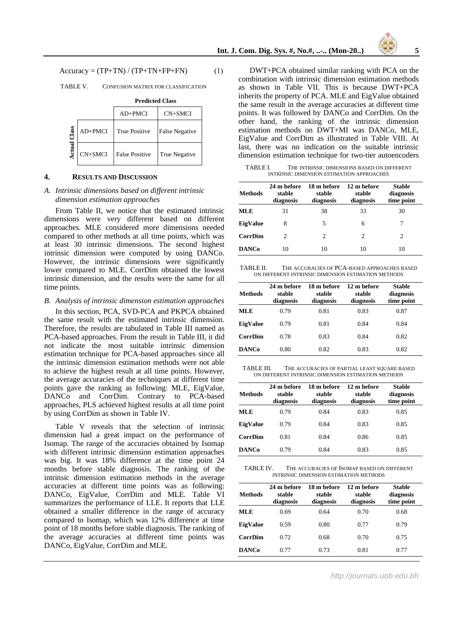$Accuracy = (TP + TN) / (TP + TN + FP + FN)$  (1)

TABLE V. CONFUSION MATRIX FOR CLASSIFICATION

|      |         | $AD+PMCI$             | $CN+SMCI$             |  |
|------|---------|-----------------------|-----------------------|--|
| lass | AD+PMCI | <b>True Positive</b>  | <b>False Negative</b> |  |
| ∢ctu | CN+SMCI | <b>False Positive</b> | True Negative         |  |

#### **Predicted Class**

#### **4. RESULTS AND DISCUSSION**

### *A. Intrinsic dimensions based on different intrinsic dimension estimation approaches*

From Table II, we notice that the estimated intrinsic dimensions were very different based on different approaches. MLE considered more dimensions needed compared to other methods at all time points, which was at least 30 intrinsic dimensions. The second highest intrinsic dimension were computed by using DANCo. However, the intrinsic dimensions were significantly lower compared to MLE. CorrDim obtained the lowest intrinsic dimension, and the results were the same for all time points.

#### *B. Analysis of intrinsic dimension estimation approaches*

In this section, PCA, SVD-PCA and PKPCA obtained the same result with the estimated intrinsic dimension. Therefore, the results are tabulated in Table III named as PCA-based approaches. From the result in Table III, it did not indicate the most suitable intrinsic dimension estimation technique for PCA-based approaches since all the intrinsic dimension estimation methods were not able to achieve the highest result at all time points. However, the average accuracies of the techniques at different time points gave the ranking as following: MLE, EigValue, DANCo and CorrDim. Contrary to PCA-based approaches, PLS achieved highest results at all time point by using CorrDim as shown in Table IV.

Table V reveals that the selection of intrinsic dimension had a great impact on the performance of Isomap. The range of the accuracies obtained by Isomap with different intrinsic dimension estimation approaches was big. It was 18% difference at the time point 24 months before stable diagnosis. The ranking of the intrinsic dimension estimation methods in the average accuracies at different time points was as following: DANCo, EigValue, CorrDim and MLE. Table VI summarizes the performance of LLE. It reports that LLE obtained a smaller difference in the range of accuracy compared to Isomap, which was 12% difference at time point of 18 months before stable diagnosis. The ranking of the average accuracies at different time points was DANCo, EigValue, CorrDim and MLE.

DWT+PCA obtained similar ranking with PCA on the combination with intrinsic dimension estimation methods as shown in Table VII. This is because DWT+PCA inherits the property of PCA. MLE and EigValue obtained the same result in the average accuracies at different time points. It was followed by DANCo and CorrDim. On the other hand, the ranking of the intrinsic dimension estimation methods on DWT+MI was DANCo, MLE, EigValue and CorrDim as illustrated in Table VIII. At last, there was no indication on the suitable intrinsic dimension estimation technique for two-tier autoencoders

TABLE I. THE INTRINSIC DIMENSIONS BASED ON DIFFERENT INTRINSIC DIMENSION ESTIMATION APPROACHES

| Methods        | 24 m before<br>stable<br>diagnosis | 18 m before<br>stable<br>diagnosis | 12 m before<br>stable<br>diagnosis | <b>Stable</b><br>diagnosis<br>time point |
|----------------|------------------------------------|------------------------------------|------------------------------------|------------------------------------------|
| <b>MLE</b>     | 31                                 | 38                                 | 33                                 | 30                                       |
| EigValue       | 8                                  | 5                                  | 6                                  | 7                                        |
| <b>CorrDim</b> | 2                                  | 2                                  | 2                                  | 2                                        |
| <b>DANCo</b>   | 10                                 | 10                                 | 10                                 | 10                                       |

TABLE II. THE ACCURACIES OF PCA-BASED APPROACHES BASED ON DIFFERENT INTRINSIC DIMENSION ESTIMATION METHODS

| Methods        | 24 m before<br>stable<br>diagnosis | 18 m hefore<br>stable<br>diagnosis | 12 m before<br>stable<br>diagnosis | <b>Stable</b><br>diagnosis<br>time point |
|----------------|------------------------------------|------------------------------------|------------------------------------|------------------------------------------|
| <b>MLE</b>     | 0.79                               | 0.81                               | 0.83                               | 0.87                                     |
| EigValue       | 0.79                               | 0.81                               | 0.84                               | 0.84                                     |
| <b>CorrDim</b> | 0.78                               | 0.83                               | 0.84                               | 0.82                                     |
| <b>DANCo</b>   | 0.80                               | 0.82                               | 0.83                               | 0.82                                     |

TABLE III. THE ACCURACIES OF PARTIAL LEAST SQUARE BASED ON DIFFERENT INTRINSIC DIMENSION ESTIMATION METHODS

| Methods        | 24 m hefore<br>stable<br>diagnosis | 18 m hefore<br>stable<br>diagnosis | 12 m hefore<br>stable<br>diagnosis | <b>Stable</b><br>diagnosis<br>time point |
|----------------|------------------------------------|------------------------------------|------------------------------------|------------------------------------------|
| <b>MLE</b>     | 0.79                               | 0.84                               | 0.83                               | 0.85                                     |
| EigValue       | 0.79                               | 0.84                               | 0.83                               | 0.85                                     |
| <b>CorrDim</b> | 0.81                               | 0.84                               | 0.86                               | 0.85                                     |
| <b>DANCo</b>   | 0.79                               | 0.84                               | 0.83                               | 0.85                                     |

TABLE IV. THE ACCURACIES OF ISOMAP BASED ON DIFFERENT INTRINSIC DIMENSION ESTIMATION METHODS

| <b>Methods</b> | 24 m before<br>stable<br>diagnosis | 18 m before<br>stable<br>diagnosis | 12 m before<br>stable<br>diagnosis | <b>Stable</b><br>diagnosis<br>time point |
|----------------|------------------------------------|------------------------------------|------------------------------------|------------------------------------------|
| <b>MLE</b>     | 0.69                               | 0.64                               | 0.70                               | 0.68                                     |
| EigValue       | 0.59                               | 0.80                               | 0.77                               | 0.79                                     |
| <b>CorrDim</b> | 0.72                               | 0.68                               | 0.70                               | 0.75                                     |
| <b>DANCo</b>   | 0.77                               | 0.73                               | 0.81                               | 0.77                                     |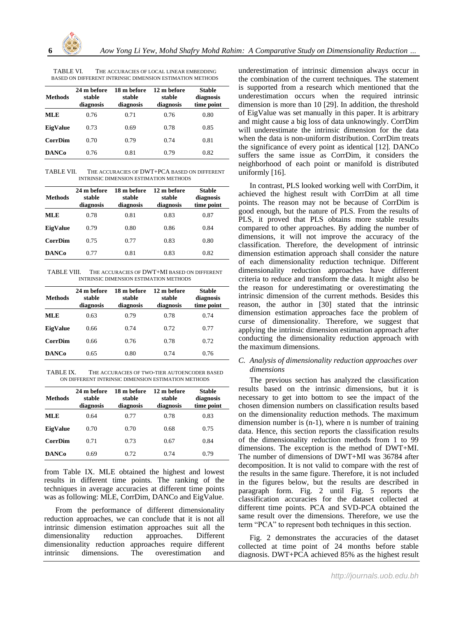

TABLE VI. THE ACCURACIES OF LOCAL LINEAR EMBEDDING BASED ON DIFFERENT INTRINSIC DIMENSION ESTIMATION METHODS

| <b>Methods</b> | 24 m hefore<br>stable<br>diagnosis | 18 m hefore<br>stable<br>diagnosis | 12 m before<br>stable<br>diagnosis | <b>Stable</b><br>diagnosis<br>time point |
|----------------|------------------------------------|------------------------------------|------------------------------------|------------------------------------------|
| <b>MLE</b>     | 0.76                               | 0.71                               | 0.76                               | 0.80                                     |
| EigValue       | 0.73                               | 0.69                               | 0.78                               | 0.85                                     |
| <b>CorrDim</b> | 0.70                               | 0.79                               | 0.74                               | 0.81                                     |
| <b>DANCo</b>   | 0.76                               | 0.81                               | 0.79                               | 0.82                                     |

TABLE VII. THE ACCURACIES OF DWT+PCA BASED ON DIFFERENT INTRINSIC DIMENSION ESTIMATION METHODS

| <b>Methods</b> | 24 m hefore<br>stable<br>diagnosis | 18 m hefore<br>stable<br>diagnosis | 12 m before<br>stable<br>diagnosis | <b>Stable</b><br>diagnosis<br>time point |
|----------------|------------------------------------|------------------------------------|------------------------------------|------------------------------------------|
| ML E           | 0.78                               | 0.81                               | 0.83                               | 0.87                                     |
| EigValue       | 0.79                               | 0.80                               | 0.86                               | 0.84                                     |
| <b>CorrDim</b> | 0.75                               | 0.77                               | 0.83                               | 0.80                                     |
| <b>DANCo</b>   | 0.77                               | 0.81                               | 0.83                               | 0.82                                     |

TABLE VIII. THE ACCURACIES OF DWT+MI BASED ON DIFFERENT INTRINSIC DIMENSION ESTIMATION METHODS

| <b>Methods</b> | 24 m before<br>stable<br>diagnosis | 18 m before<br>stable<br>diagnosis | 12 m before<br>stable<br>diagnosis | <b>Stable</b><br>diagnosis<br>time point |
|----------------|------------------------------------|------------------------------------|------------------------------------|------------------------------------------|
| MLE            | 0.63                               | 0.79                               | 0.78                               | 0.74                                     |
| EigValue       | 0.66                               | 0.74                               | 0.72                               | 0.77                                     |
| <b>CorrDim</b> | 0.66                               | 0.76                               | 0.78                               | 0.72                                     |
| <b>DANCo</b>   | 0.65                               | 0.80                               | 0.74                               | 0.76                                     |

TABLE IX. THE ACCURACIES OF TWO-TIER AUTOENCODER BASED ON DIFFERENT INTRINSIC DIMENSION ESTIMATION METHODS

| <b>Methods</b> | 24 m before<br>stable<br>diagnosis | 18 m hefore<br>stable<br>diagnosis | 12 m before<br>stable<br>diagnosis | <b>Stable</b><br>diagnosis<br>time point |
|----------------|------------------------------------|------------------------------------|------------------------------------|------------------------------------------|
| <b>MLE</b>     | 0.64                               | 0.77                               | 0.78                               | 0.83                                     |
| EigValue       | 0.70                               | 0.70                               | 0.68                               | 0.75                                     |
| <b>CorrDim</b> | 0.71                               | 0.73                               | 0.67                               | 0.84                                     |
| <b>DANCo</b>   | 0.69                               | 0.72                               | 0.74                               | 0.79                                     |

from Table IX. MLE obtained the highest and lowest results in different time points. The ranking of the techniques in average accuracies at different time points was as following: MLE, CorrDim, DANCo and EigValue.

From the performance of different dimensionality reduction approaches, we can conclude that it is not all intrinsic dimension estimation approaches suit all the dimensionality reduction approaches. Different dimensionality reduction approaches require different intrinsic dimensions. The overestimation and

underestimation of intrinsic dimension always occur in the combination of the current techniques. The statement is supported from a research which mentioned that the underestimation occurs when the required intrinsic dimension is more than 10 [29]. In addition, the threshold of EigValue was set manually in this paper. It is arbitrary and might cause a big loss of data unknowingly. CorrDim will underestimate the intrinsic dimension for the data when the data is non-uniform distribution. CorrDim treats the significance of every point as identical [12]. DANCo suffers the same issue as CorrDim, it considers the neighborhood of each point or manifold is distributed uniformly [16].

In contrast, PLS looked working well with CorrDim, it achieved the highest result with CorrDim at all time points. The reason may not be because of CorrDim is good enough, but the nature of PLS. From the results of PLS, it proved that PLS obtains more stable results compared to other approaches. By adding the number of dimensions, it will not improve the accuracy of the classification. Therefore, the development of intrinsic dimension estimation approach shall consider the nature of each dimensionality reduction technique. Different dimensionality reduction approaches have different criteria to reduce and transform the data. It might also be the reason for underestimating or overestimating the intrinsic dimension of the current methods. Besides this reason, the author in [30] stated that the intrinsic dimension estimation approaches face the problem of curse of dimensionality. Therefore, we suggest that applying the intrinsic dimension estimation approach after conducting the dimensionality reduction approach with the maximum dimensions.

## *C. Analysis of dimensionality reduction approaches over dimensions*

The previous section has analyzed the classification results based on the intrinsic dimensions, but it is necessary to get into bottom to see the impact of the chosen dimension numbers on classification results based on the dimensionality reduction methods. The maximum dimension number is (n-1), where n is number of training data. Hence, this section reports the classification results of the dimensionality reduction methods from 1 to 99 dimensions. The exception is the method of DWT+MI. The number of dimensions of DWT+MI was 36784 after decomposition. It is not valid to compare with the rest of the results in the same figure. Therefore, it is not included in the figures below, but the results are described in paragraph form. Fig. 2 until Fig. 5 reports the classification accuracies for the dataset collected at different time points. PCA and SVD-PCA obtained the same result over the dimensions. Therefore, we use the term "PCA" to represent both techniques in this section.

Fig. 2 demonstrates the accuracies of the dataset collected at time point of 24 months before stable diagnosis. DWT+PCA achieved 85% as the highest result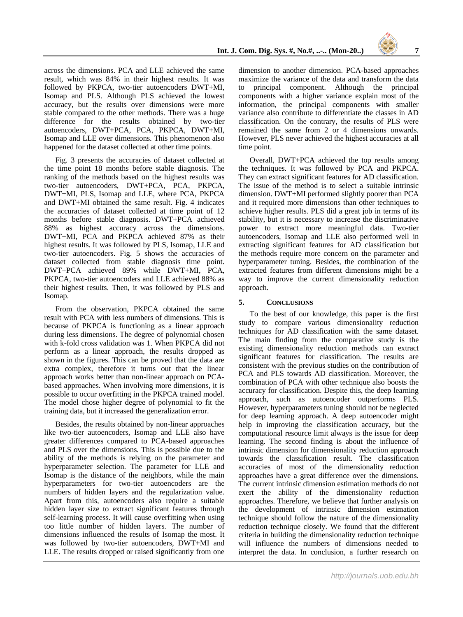across the dimensions. PCA and LLE achieved the same result, which was 84% in their highest results. It was followed by PKPCA, two-tier autoencoders DWT+MI, Isomap and PLS. Although PLS achieved the lowest accuracy, but the results over dimensions were more stable compared to the other methods. There was a huge difference for the results obtained by two-tier autoencoders, DWT+PCA, PCA, PKPCA, DWT+MI, Isomap and LLE over dimensions. This phenomenon also happened for the dataset collected at other time points.

Fig. 3 presents the accuracies of dataset collected at the time point 18 months before stable diagnosis. The ranking of the methods based on the highest results was two-tier autoencoders, DWT+PCA, PCA, PKPCA, DWT+MI, PLS, Isomap and LLE, where PCA, PKPCA and DWT+MI obtained the same result. Fig. 4 indicates the accuracies of dataset collected at time point of 12 months before stable diagnosis. DWT+PCA achieved 88% as highest accuracy across the dimensions. DWT+MI, PCA and PKPCA achieved 87% as their highest results. It was followed by PLS, Isomap, LLE and two-tier autoencoders. Fig. 5 shows the accuracies of dataset collected from stable diagnosis time point. DWT+PCA achieved 89% while DWT+MI, PCA, PKPCA, two-tier autoencoders and LLE achieved 88% as their highest results. Then, it was followed by PLS and Isomap.

From the observation, PKPCA obtained the same result with PCA with less numbers of dimensions. This is because of PKPCA is functioning as a linear approach during less dimensions. The degree of polynomial chosen with k-fold cross validation was 1. When PKPCA did not perform as a linear approach, the results dropped as shown in the figures. This can be proved that the data are extra complex, therefore it turns out that the linear approach works better than non-linear approach on PCAbased approaches. When involving more dimensions, it is possible to occur overfitting in the PKPCA trained model. The model chose higher degree of polynomial to fit the training data, but it increased the generalization error.

Besides, the results obtained by non-linear approaches like two-tier autoencoders, Isomap and LLE also have greater differences compared to PCA-based approaches and PLS over the dimensions. This is possible due to the ability of the methods is relying on the parameter and hyperparameter selection. The parameter for LLE and Isomap is the distance of the neighbors, while the main hyperparameters for two-tier autoencoders are the numbers of hidden layers and the regularization value. Apart from this, autoencoders also require a suitable hidden layer size to extract significant features through self-learning process. It will cause overfitting when using too little number of hidden layers. The number of dimensions influenced the results of Isomap the most. It was followed by two-tier autoencoders, DWT+MI and LLE. The results dropped or raised significantly from one

dimension to another dimension. PCA-based approaches maximize the variance of the data and transform the data to principal component. Although the principal components with a higher variance explain most of the information, the principal components with smaller variance also contribute to differentiate the classes in AD classification. On the contrary, the results of PLS were remained the same from 2 or 4 dimensions onwards. However, PLS never achieved the highest accuracies at all time point.

Overall, DWT+PCA achieved the top results among the techniques. It was followed by PCA and PKPCA. They can extract significant features for AD classification. The issue of the method is to select a suitable intrinsic dimension. DWT+MI performed slightly poorer than PCA and it required more dimensions than other techniques to achieve higher results. PLS did a great job in terms of its stability, but it is necessary to increase the discriminative power to extract more meaningful data. Two-tier autoencoders, Isomap and LLE also performed well in extracting significant features for AD classification but the methods require more concern on the parameter and hyperparameter tuning. Besides, the combination of the extracted features from different dimensions might be a way to improve the current dimensionality reduction approach.

## **5. CONCLUSIONS**

To the best of our knowledge, this paper is the first study to compare various dimensionality reduction techniques for AD classification with the same dataset. The main finding from the comparative study is the existing dimensionality reduction methods can extract significant features for classification. The results are consistent with the previous studies on the contribution of PCA and PLS towards AD classification. Moreover, the combination of PCA with other technique also boosts the accuracy for classification. Despite this, the deep learning approach, such as autoencoder outperforms PLS. However, hyperparameters tuning should not be neglected for deep learning approach. A deep autoencoder might help in improving the classification accuracy, but the computational resource limit always is the issue for deep learning. The second finding is about the influence of intrinsic dimension for dimensionality reduction approach towards the classification result. The classification accuracies of most of the dimensionality reduction approaches have a great difference over the dimensions. The current intrinsic dimension estimation methods do not exert the ability of the dimensionality reduction approaches. Therefore, we believe that further analysis on the development of intrinsic dimension estimation technique should follow the nature of the dimensionality reduction technique closely. We found that the different criteria in building the dimensionality reduction technique will influence the numbers of dimensions needed to interpret the data. In conclusion, a further research on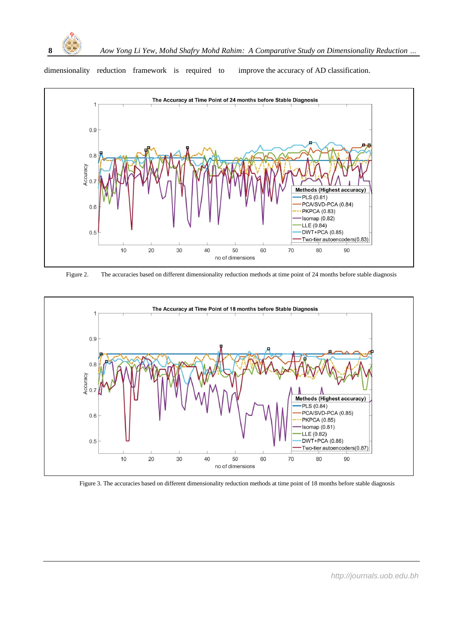

dimensionality reduction framework is required to improve the accuracy of AD classification.



Figure 2. The accuracies based on different dimensionality reduction methods at time point of 24 months before stable diagnosis



Figure 3. The accuracies based on different dimensionality reduction methods at time point of 18 months before stable diagnosis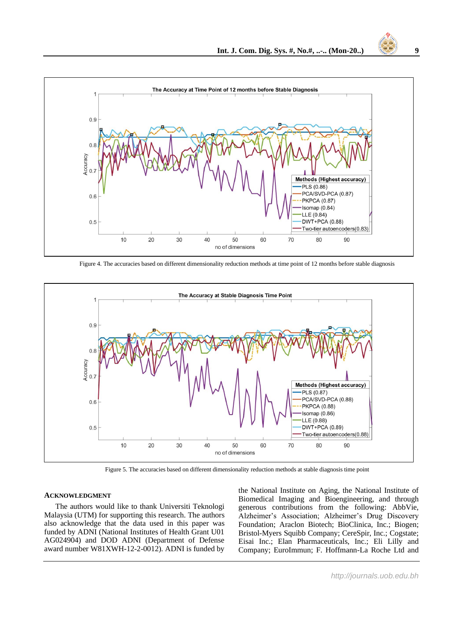

Figure 4. The accuracies based on different dimensionality reduction methods at time point of 12 months before stable diagnosis



Figure 5. The accuracies based on different dimensionality reduction methods at stable diagnosis time point

#### **ACKNOWLEDGMENT**

The authors would like to thank Universiti Teknologi Malaysia (UTM) for supporting this research. The authors also acknowledge that the data used in this paper was funded by ADNI (National Institutes of Health Grant U01 AG024904) and DOD ADNI (Department of Defense award number W81XWH-12-2-0012). ADNI is funded by

the National Institute on Aging, the National Institute of Biomedical Imaging and Bioengineering, and through generous contributions from the following: AbbVie, Alzheimer's Association; Alzheimer's Drug Discovery Foundation; Araclon Biotech; BioClinica, Inc.; Biogen; Bristol-Myers Squibb Company; CereSpir, Inc.; Cogstate; Eisai Inc.; Elan Pharmaceuticals, Inc.; Eli Lilly and Company; EuroImmun; F. Hoffmann-La Roche Ltd and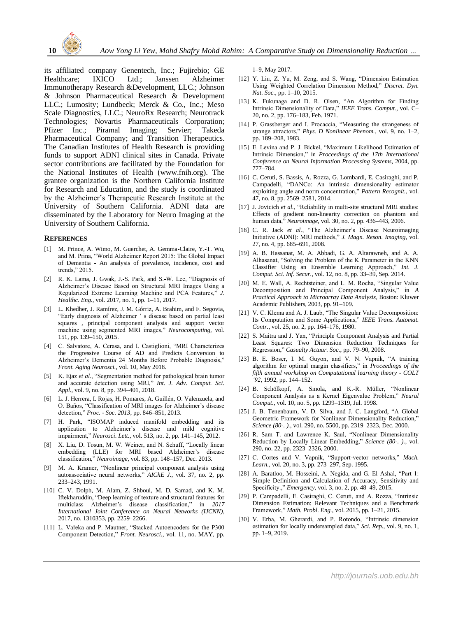

its affiliated company Genentech, Inc.; Fujirebio; GE Healthcare; IXICO Ltd.; Janssen Alzheimer Immunotherapy Research &Development, LLC.; Johnson & Johnson Pharmaceutical Research & Development LLC.; Lumosity; Lundbeck; Merck & Co., Inc.; Meso Scale Diagnostics, LLC.; NeuroRx Research; Neurotrack Technologies; Novartis Pharmaceuticals Corporation; Pfizer Inc.; Piramal Imaging; Servier; Takeda Pharmaceutical Company; and Transition Therapeutics. The Canadian Institutes of Health Research is providing funds to support ADNI clinical sites in Canada. Private sector contributions are facilitated by the Foundation for the National Institutes of Health (www.fnih.org). The grantee organization is the Northern California Institute for Research and Education, and the study is coordinated by the Alzheimer's Therapeutic Research Institute at the University of Southern California. ADNI data are disseminated by the Laboratory for Neuro Imaging at the University of Southern California.

#### **REFERENCES**

- [1] M. Prince, A. Wimo, M. Guerchet, A. Gemma-Claire, Y.-T. Wu, and M. Prina, "World Alzheimer Report 2015: The Global Impact of Dementia - An analysis of prevalence, incidence, cost and trends," 2015.
- [2] R. K. Lama, J. Gwak, J.-S. Park, and S.-W. Lee, "Diagnosis of Alzheimer's Disease Based on Structural MRI Images Using a Regularized Extreme Learning Machine and PCA Features," *J. Healthc. Eng.*, vol. 2017, no. 1, pp. 1–11, 2017.
- [3] L. Khedher, J. Ramírez, J. M. Górriz, A. Brahim, and F. Segovia, "Early diagnosis of Alzheimer ' s disease based on partial least squares , principal component analysis and support vector machine using segmented MRI images," *Neurocomputing*, vol. 151, pp. 139–150, 2015.
- [4] C. Salvatore, A. Cerasa, and I. Castiglioni, "MRI Characterizes the Progressive Course of AD and Predicts Conversion to Alzheimer's Dementia 24 Months Before Probable Diagnosis," *Front. Aging Neurosci.*, vol. 10, May 2018.
- [5] K. Ejaz *et al.*, "Segmentation method for pathological brain tumor and accurate detection using MRI," *Int. J. Adv. Comput. Sci. Appl.*, vol. 9, no. 8, pp. 394–401, 2018.
- [6] L. J. Herrera, I. Rojas, H. Pomares, A. Guillén, O. Valenzuela, and O. Baños, "Classification of MRI images for Alzheimer's disease detection," *Proc. - Soc. 2013*, pp. 846–851, 2013.
- [7] H. Park, "ISOMAP induced manifold embedding and its application to Alzheimer's disease and mild cognitive impairment," *Neurosci. Lett.*, vol. 513, no. 2, pp. 141–145, 2012.
- [8] X. Liu, D. Tosun, M. W. Weiner, and N. Schuff, "Locally linear embedding (LLE) for MRI based Alzheimer's disease classification," *Neuroimage*, vol. 83, pp. 148–157, Dec. 2013.
- [9] M. A. Kramer, "Nonlinear principal component analysis using autoassociative neural networks," *AIChE J.*, vol. 37, no. 2, pp. 233–243, 1991.
- [10] C. V. Dolph, M. Alam, Z. Shboul, M. D. Samad, and K. M. Iftekharuddin, "Deep learning of texture and structural features for multiclass Alzheimer's disease classification," in *2017 International Joint Conference on Neural Networks (IJCNN)*, 2017, no. 1310353, pp. 2259–2266.
- [11] L. Vařeka and P. Mautner, "Stacked Autoencoders for the P300 Component Detection," *Front. Neurosci.*, vol. 11, no. MAY, pp.

1–9, May 2017.

- [12] Y. Liu, Z. Yu, M. Zeng, and S. Wang, "Dimension Estimation Using Weighted Correlation Dimension Method," *Discret. Dyn. Nat. Soc.*, pp. 1–10, 2015.
- [13] K. Fukunaga and D. R. Olsen, "An Algorithm for Finding Intrinsic Dimensionality of Data," *IEEE Trans. Comput.*, vol. C– 20, no. 2, pp. 176–183, Feb. 1971.
- [14] P. Grassberger and I. Procaccia, "Measuring the strangeness of strange attractors," *Phys. D Nonlinear Phenom.*, vol. 9, no. 1–2, pp. 189–208, 1983.
- [15] E. Levina and P. J. Bickel, "Maximum Likelihood Estimation of Intrinsic Dimension," in *Proceedings of the 17th International Conference on Neural Information Processing Systems*, 2004, pp. 777–784.
- [16] C. Ceruti, S. Bassis, A. Rozza, G. Lombardi, E. Casiraghi, and P. Campadelli, "DANCo: An intrinsic dimensionality estimator exploiting angle and norm concentration," *Pattern Recognit.*, vol. 47, no. 8, pp. 2569–2581, 2014.
- [17] J. Jovicich *et al.*, "Reliability in multi-site structural MRI studies: Effects of gradient non-linearity correction on phantom and human data," *Neuroimage*, vol. 30, no. 2, pp. 436–443, 2006.
- [18] C. R. Jack *et al.*, "The Alzheimer's Disease Neuroimaging Initiative (ADNI): MRI methods," *J. Magn. Reson. Imaging*, vol. 27, no. 4, pp. 685–691, 2008.
- [19] A. B. Hassanat, M. A. Abbadi, G. A. Altarawneh, and A. A. Alhasanat, "Solving the Problem of the K Parameter in the KNN Classifier Using an Ensemble Learning Approach," *Int. J. Comput. Sci. Inf. Secur.*, vol. 12, no. 8, pp. 33–39, Sep. 2014.
- [20] M. E. Wall, A. Rechtsteiner, and L. M. Rocha, "Singular Value Decomposition and Principal Component Analysis," in *A Practical Approach to Microarray Data Analysis*, Boston: Kluwer Academic Publishers, 2003, pp. 91–109.
- [21] V. C. Klema and A. J. Laub, "The Singular Value Decomposition: Its Computation and Some Applications," *IEEE Trans. Automat. Contr.*, vol. 25, no. 2, pp. 164–176, 1980.
- [22] S. Maitra and J. Yan, "Principle Component Analysis and Partial Least Squares: Two Dimension Reduction Techniques for Regression," *Casualty Actuar. Soc.*, pp. 79–90, 2008.
- [23] B. E. Boser, I. M. Guyon, and V. N. Vapnik, "A training algorithm for optimal margin classifiers," in *Proceedings of the fifth annual workshop on Computational learning theory - COLT '92*, 1992, pp. 144–152.
- [24] B. Schölkopf, A. Smola, and K.-R. Müller, "Nonlinear Component Analysis as a Kernel Eigenvalue Problem," *Neural Comput.*, vol. 10, no. 5, pp. 1299–1319, Jul. 1998.
- [25] J. B. Tenenbaum, V. D. Silva, and J. C. Langford, "A Global Geometric Framework for Nonlinear Dimensionality Reduction," *Science (80-. ).*, vol. 290, no. 5500, pp. 2319–2323, Dec. 2000.
- [26] R. Sam T. and Lawrence K. Saul, "Nonlinear Dimensionality Reduction by Locally Linear Embedding," *Science (80-. ).*, vol. 290, no. 22, pp. 2323–2326, 2000.
- [27] C. Cortes and V. Vapnik, "Support-vector networks," *Mach. Learn.*, vol. 20, no. 3, pp. 273–297, Sep. 1995.
- [28] A. Baratloo, M. Hosseini, A. Negida, and G. El Ashal, "Part 1: Simple Definition and Calculation of Accuracy, Sensitivity and Specificity.," *Emergency*, vol. 3, no. 2, pp. 48–49, 2015.
- [29] P. Campadelli, E. Casiraghi, C. Ceruti, and A. Rozza, "Intrinsic Dimension Estimation: Relevant Techniques and a Benchmark Framework," *Math. Probl. Eng.*, vol. 2015, pp. 1–21, 2015.
- [30] V. Erba, M. Gherardi, and P. Rotondo, "Intrinsic dimension estimation for locally undersampled data," *Sci. Rep.*, vol. 9, no. 1, pp. 1–9, 2019.